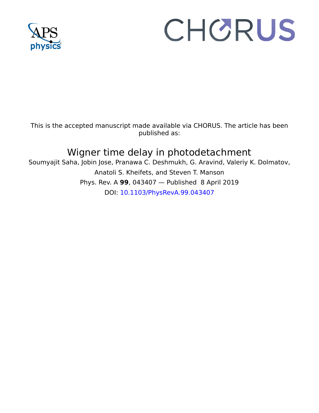

# CHORUS

This is the accepted manuscript made available via CHORUS. The article has been published as:

# Wigner time delay in photodetachment

Soumyajit Saha, Jobin Jose, Pranawa C. Deshmukh, G. Aravind, Valeriy K. Dolmatov, Anatoli S. Kheifets, and Steven T. Manson Phys. Rev. A **99**, 043407 — Published 8 April 2019 DOI: [10.1103/PhysRevA.99.043407](http://dx.doi.org/10.1103/PhysRevA.99.043407)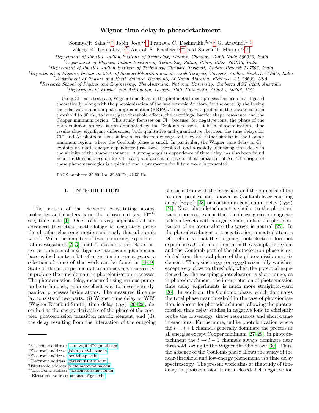### Wigner time delay in photodetachment

Soumyajit Saha,<sup>1,\*</sup> Jobin Jose,<sup>2,[†](#page-1-1)</sup> Pranawa C. Deshmukh,<sup>3,4,[‡](#page-1-2)</sup> G. Aravind,<sup>1, [§](#page-1-3)</sup>

Valeriy K. Dolmatov,<sup>5,[¶](#page-1-4)</sup> Anatoli S. Kheifets,<sup>6,\*\*</sup> and Steven T. Manson<sup>7,[††](#page-1-6)</sup>

 $1$ Department of Physics, Indian Institute of Technology Madras, Chennai, Tamil Nadu 600036, India

 $^{2}$ Department of Physics, Indian Institute of Technology Patna, Bihta, Bihar 801013, India

 ${}^{3}$ Department of Physics, Indian Institute of Technology Tirupati, Tirupati, Andhra Pradesh 517506, India

<sup>4</sup>Department of Physics, Indian Institute of Science Education and Research Tirupati, Tirupati, Andhra Pradesh 517507, India

 $5$ Department of Physics and Earth Science, University of North Alabama, Florence, AL 35632, USA

 ${}^6$ Research School of Physics and Engineering, The Australian National University, Canberra ACT 0200, Australia

 $^7$ Department of Physics and Astronomy, Georgia State University, Atlanta, 30303, USA

Using Cl<sup>−</sup> as a test case, Wigner time delay in the photodetachment process has been investigated theoretically, along with the photoionization of the isoelectronic Ar atom, for the outer 3p shell using the relativistic-random-phase approximation (RRPA). Time delay was probed in these systems from threshold to 80 eV, to investigate threshold effects, the centrifugal barrier shape resonance and the Cooper minimum region. This study focusses on Cl<sup>−</sup> because, for negative ions, the phase of the photoemission process is not dominated by the Coulomb phase as it is in photoionization. The results show significant differences, both qualitative and quantitative, between the time delays for Cl<sup>−</sup> and Ar photoemission at low photoelectron energy, but they are rather similar in the Cooper minimum region, where the Coulomb phase is small. In particular, the Wigner time delay in Cl<sup>−</sup> exhibits dramatic energy dependence just above threshold, and a rapidly increasing time delay in the vicinity of the shape resonance. A strong angular dependence of time delay has also been found near the threshold region for Cl<sup>−</sup> case; and absent in case of photoionization of Ar. The origin of these phenomenologies is explained and a prospectus for future work is presented.

PACS numbers: 32.80.Rm, 32.80.Fb, 42.50.Hz

#### I. INTRODUCTION

The motion of the electrons constituting atoms, molecules and clusters is on the attosecond (as, 10<sup>−</sup><sup>18</sup> sec) time scale [\[1\]](#page-8-0). One needs a very sophisticated and advanced theoretical methodology to accurately probe the ultrafast electronic motion and study this subatomic world. With the impetus of two pioneering experimental investigations [\[2,](#page-8-1) [3\]](#page-8-2), photoionization time delay studies, as a means of investigating attosecond phenomena, have gained quite a bit of attention in recent years; a selection of some of this work can be found in [\[4–](#page-8-3)[19\]](#page-8-4). State-of-the-art experimental techniques have succeeded in probing the time domain in photoionization processes. The photoemission delay, measured using various pumpprobe techniques, is an excellent way to investigate dynamical processes inside atoms. The measured time delay consists of two parts: (i) Wigner time delay or WES (Wigner-Eisenbud-Smith) time delay  $(\tau_W)$  [\[20](#page-8-5)[–22\]](#page-8-6), described as the energy derivative of the phase of the complex photoemission transition matrix element, and (ii), the delay resulting from the interaction of the outgoing

photoelectron with the laser field and the potential of the residual positive ion, known as Coulomb-laser-coupling delay ( $\tau_{CLC}$ ) [\[23\]](#page-8-7) or continuum-continuum delay ( $\tau_{CC}$ ) [\[24\]](#page-8-8). Now, photodetachment is similar to the photoionization process, except that the ionizing electromagnetic pulse interacts with a negative ion, unlike the photoionization of an atom where the target is neutral [\[25\]](#page-8-9). In the photodetachment of a negative ion, a neutral atom is left behind so that the outgoing photoelectron does not experience a Coulomb potential in the asymptotic region, and the Coulomb part of the photoelectron phase is excluded from the total phase of the photoemission matrix element. Thus, since  $\tau_{CC}$  (or  $\tau_{CLC}$ ) essentially vanishes, except very close to threshold, when the potential experienced by the escaping photoelectron is short range, as in photodetachment, the interpretation of photoemission time delay experiments is much more straightforward [\[26\]](#page-8-10). In addition, the Coulomb phase, which dominates the total phase near threshold in the case of photoionization, is absent for photodetachment, allowing the photoemission time delay studies in negative ions to efficiently probe the low-energy shape resonances and short-range interactions. Furthermore, unlike photoionization where the  $l \rightarrow l + 1$  channels generally dominate the process at all energies except Cooper minimum [\[27](#page-8-11)[–29\]](#page-8-12), in photodetachment the  $l \rightarrow l-1$  channels always dominate near threshold, owing to the Wigner threshold law [\[30\]](#page-8-13). Thus, the absence of the Coulomb phase allows the study of the near-threshold and low-energy phenomena via time delay spectroscopy. The present work aims at the study of time delay in photoemission from a closed-shell negative ion

<span id="page-1-0"></span><sup>∗</sup>Electronic address: [soumyajit147@gmail.com](mailto:soumyajit147@gmail.com)

<span id="page-1-1"></span><sup>†</sup>Electronic address: [jobin.jose@iitp.ac.in](mailto:jobin.jose@iitp.ac.in)

<span id="page-1-2"></span><sup>‡</sup>Electronic address: [pcd@iittp.ac.in](mailto:pcd@iittp.ac.in)

<span id="page-1-3"></span><sup>§</sup>Electronic address: [garavind@iitm.ac.in](mailto:garavind@iitm.ac.in)

<span id="page-1-4"></span><sup>¶</sup>Electronic address: [vkdolmatov@una.edu](mailto:vkdolmatov@una.edu)

<span id="page-1-5"></span><sup>∗∗</sup>Electronic address: [a.kheifets@anu.edu.au](mailto:a.kheifets@anu.edu.au)

<span id="page-1-6"></span><sup>††</sup>Electronic address: [smanson@gsu.edu](mailto:smanson@gsu.edu)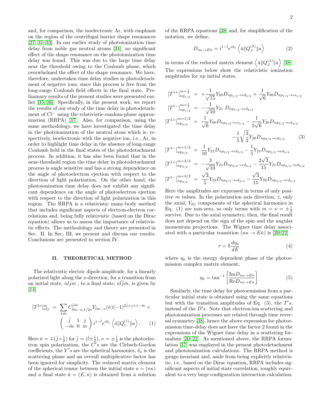and, for comparison, the isoelectronic Ar, with emphasis on the region of the centrifugal barrier shape resonances [\[27,](#page-8-11) [31–](#page-8-14)[33\]](#page-8-15). In our earlier study of photoionization time delay from noble gas neutral atoms [\[34\]](#page-8-16), no significant effect of the shape resonance on the photoionization time delay was found. This was due to the large time delay near the threshold owing to the Coulomb phase, which overwhelmed the effect of the shape resonance. We have, therefore, undertaken time delay studies in photodetachment of negative ions, since this process is free from the long-range Coulomb field effects in the final state. Preliminary results of the present studies were presented earlier [\[35,](#page-8-17) [36\]](#page-8-18). Specifically, in the present work, we report  $\left\lceil T \right\rceil$  $\lceil T \rceil$  $\left\lceil T \right\rceil$  $[I]$  $[I]$ 

the results of our study of the time delay in photodetachment of Cl<sup>−</sup> using the relativistic-random-phase approximation (RRPA) [\[37\]](#page-8-19). Also, for comparison, using the same methodology, we have investigated the time delay in the photoionization of the neutral atom which is, respectively, isoelectronic with the negative ion, i.e., Ar, in order to highlight time delay in the absence of long-range Coulomb field in the final states of the photodetachment process. In addition, it has also been found that in the near-threshold region the time delay in photodetachment process is angle sensitive and has a strong dependence on the angle of photoelectron ejection with respect to the direction of light polarization. On the other hand, the photoionization time delay does not exhibit any significant dependence on the angle of photoelectron ejection with respect to the direction of light polarization in this region. The RRPA is a relativistic many-body method that includes significant aspects of electron-electron correlations and, being fully relativistic (based on the Dirac equation) allows us to assess the importance of relativistic effects. The methodology and theory are presented in Sec. II. In Sec, III, we present and discuss our results. Conclusions are presented in section IV.

## II. THEORETICAL METHOD

The relativistic electric dipole amplitude, for a linearly polarized light along the z-direction, for a transition from an initial state,  $nljm$ , to a final state,  $\overline{\kappa l}j\overline{m}$ , is given by  $\vert 14 \vert$ 

$$
[T^{1\nu}]_{nlj}^m = \sum_{\bar{\kappa}\bar{m}} C^{\bar{j}\bar{m}}_{\bar{l}\bar{m}-\nu,1/2\nu} Y_{\bar{l}\bar{m}-\nu}(\hat{\kappa})(-1)^{2\bar{j}+j+1-\bar{m}} \times
$$

$$
\begin{pmatrix} \bar{j} & 1 & j \\ -\bar{m} & 0 & m \end{pmatrix} i^{1-\bar{l}} e^{i\delta_{\bar{\kappa}}} \langle \bar{a} || Q_1^{(1)} || a \rangle, \qquad (1)
$$

Here  $\bar{\kappa} = \pm (\bar{j} + \frac{1}{2})$  for  $\bar{j} = (\bar{l} \pm \frac{1}{2}), \nu = \pm \frac{1}{2}$  is the photoelectron spin polarization, the  $\tilde{C}'s$  are the Clebsch-Gordon coefficients, the Y's are the spherical harmonics,  $\delta_{\bar{\kappa}}$  is the scattering phase and an overall multiplicative factor has been ignored for simplicity. The reduced matrix element of the spherical tensor between the initial state  $a = (n\kappa)$ and a final state  $\bar{a} = (E, \bar{\kappa})$  is obtained from a solution of the RRPA equations [\[38\]](#page-8-21) and, for simplification of the notation, we define,

$$
D_{n\kappa \to E\bar{\kappa}} = i^{1-\bar{l}} e^{i\delta_{\bar{\kappa}}} \left\langle \bar{a} \| Q_J^{(\lambda)} \| a \right\rangle \tag{2}
$$

in terms of the reduced matrix element  $\langle \bar{a} \| Q_I^{(\lambda)} \rangle$  $_{J}^{(\lambda)} \|a\big>$  [\[38\]](#page-8-21). The expressions below show the relativistic ionization amplitudes for np initial states,

$$
[T^{1+}]_{np_1/2}^{m=\frac{1}{2}} = +\frac{1}{\sqrt{15}} Y_{20} D_{np_1/2} \to \epsilon d_{3/2} + \frac{1}{\sqrt{6}} Y_{00} D_{np_1/2} \to \epsilon s_{1/2}
$$
  
\n
$$
[T^{1-}]_{np_1/2}^{m=\frac{1}{2}} = -\frac{1}{\sqrt{10}} Y_{21} D_{np_1/2} \to \epsilon d_{3/2}
$$
  
\n
$$
[T^{1+}]_{np_3/2}^{m=1/2} = \frac{1}{\sqrt{6}} Y_{00} D_{np_3/2} \to \epsilon s_{1/2} - \frac{1}{5\sqrt{6}} Y_{20} D_{np_3/2} \to \epsilon d_{3/2}
$$
  
\n
$$
-\frac{1}{5} \sqrt{\frac{3}{2}} Y_{20} D_{np_3/2} \to \epsilon d_{5/2}
$$
 (3)

$$
[T^{1-}]_{np_{3/2}}^{m=1/2} = \frac{1}{10} Y_{21} D_{np_{3/2} \to \epsilon d_{3/2}} - \frac{1}{5} Y_{21} D_{np_{3/2} \to \epsilon d_{5/2}}
$$
  

$$
[T^{1+}]_{n=3/2}^{m=3/2} = \frac{3}{10} Y_{21} D_{np_{3/2} \to \epsilon d_{3/2}} - \frac{1}{5} Y_{21} D_{np_{3/2} \to \epsilon d_{5/2}}
$$

$$
[T^{1+}]_{np_{3/2}}^{m=3/2} = -\frac{3}{\sqrt{10}} Y_{21} D_{np_{3/2} \to \epsilon d_{3/2}} - \frac{2\sqrt{3}}{15} Y_{21} D_{np_{3/2} \to \epsilon d_{5/2}}
$$

$$
[T^{1-}]_{np_{3/2}}^{m=3/2} = \frac{\sqrt{3}}{5} Y_{22} D_{np_{3/2} \to \epsilon d_{3/2}} - \frac{\sqrt{3}}{15} Y_{22} D_{np_{3/2} \to \epsilon d_{5/2}}
$$

Here the amplitudes are expressed in terms of only positive m values. In the polarization axis direction,  $\hat{z}$ , only the axial,  $Y_{l0}$ , components of the spherical harmonics in Eq. (1) are non-zero, so only terms with  $m = \nu = \pm \frac{1}{2}$ survive. Due to the axial symmetry, then, the final result does not depend on the sign of the spin and the angular momentum projections. The Wigner time delay associated with a particular transition  $(n\kappa \to E\bar{\kappa})$  is [\[20](#page-8-5)[–22\]](#page-8-6)

$$
\tau = \hbar \frac{d\eta_{\bar{\kappa}}}{dE} \tag{4}
$$

where  $\eta_{\bar{\kappa}}$  is the energy dependent phase of the photoemission complex matrix element,

$$
\eta_{\bar{\kappa}} = \tan^{-1} \left[ \frac{\text{Im} D_{n\kappa \to E\bar{\kappa}}}{\text{Re} D_{n\kappa \to E\bar{\kappa}}} \right] \tag{5}
$$

Similarly, the time delay for photoemission from a particular initial state is obtained using the same equations but with the transition amplitudes of Eq.  $(3)$ , the  $T's$ , instead of the  $D's$ . Note that electron-ion scattering and photoionization processes are related through time reversal symmetry [\[38\]](#page-8-21), hence the above expression for photoemission time-delay does not have the factor 2 found in the expressions of the Wigner time delay in a scattering formalism [\[20](#page-8-5)[–22\]](#page-8-6). As mentioned above, the RRPA formulation [\[37\]](#page-8-19) was employed in the present photodetachment and photoionization calculations. The RRPA method is gauge-invariant and, aside from being explicitly relativistic, i.e., based on the Dirac equation, RRPA includes significant aspects of initial state correlation, roughly equivalent to a very large configuration interaction calculation.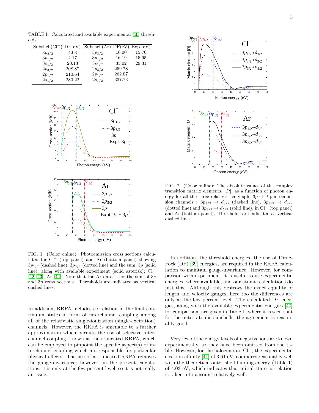TABLE I: Calculated and available experimental [\[40\]](#page-8-22) thresholds.

| $Subshell(Cl^-$ | DF(eV) | Subshell $(Ar) DF(eV)$ |        | Exp.(eV) |
|-----------------|--------|------------------------|--------|----------|
| $3p_{3/2}$      | 4.03   | $3p_{3/2}$             | 16.00  | 15.76    |
| $3p_{1/2}$      | 4.17   | $3p_{1/2}$             | 16.19  | 15.95    |
| $3s_{1/2}$      | 20.13  | $3s_{1/2}$             | 35.02  | 29.31    |
| $2p_{3/2}$      | 208.87 | $2p_{3/2}$             | 259.78 |          |
| $2p_{1/2}$      | 210.64 | $2p_{1/2}$             | 262.07 |          |
| $2s_{1/2}$      | 280.22 | $2s_{1/2}$             | 337.73 |          |



FIG. 1: (Color online): Photoemission cross sections calculated for Cl<sup>−</sup> (top panel) and Ar (bottom panel) showing  $3p_{1/2}$  (dashed line),  $3p_{3/2}$  (dotted line) and the sum,  $3p$  (solid line), along with available experiment (solid asterisk); Cl<sup>−</sup> [\[42,](#page-8-23) [43\]](#page-8-24), Ar [\[44\]](#page-8-25). Note that the Ar data is for the sum of  $3s$ and 3p cross sections. Thresholds are indicated as vertical dashed lines.

In addition, RRPA includes correlation in the final continuum states in form of interchannel coupling among all of the relativistic single-ionization (single-excitation) channels. However, the RRPA is amenable to a further approximation which permits the use of selective interchannel coupling, known as the truncated RRPA, which can be employed to pinpoint the specific aspect(s) of interchannel coupling which are responsible for particular physical effects. The use of a truncated RRPA removes the gauge-invariance; however, in the present calculations, it is only at the few percent level, so it is not really



FIG. 2: (Color online): The absolute values of the complex transition matrix elements,  $|D|$ , as a function of photon energy for all the three relativistically split  $3p \rightarrow d$  photoemission channels :  $3p_{1/2} \rightarrow d_{3/2}$  (dashed line),  $3p_{3/2} \rightarrow d_{3/2}$ (dotted line) and  $3p_{3/2} \rightarrow d_{5/2}$  (solid line), in Cl<sup>−</sup> (top panel) and Ar (bottom panel). Thresholds are indicated as vertical dashed lines.

In addition, the threshold energies, the use of Dirac-Fock (DF) [\[39\]](#page-8-26) energies, are required in the RRPA calculation to maintain gauge-invariance. However, for comparison with experiment, it is useful to use experimental energies, where available, and our atomic calculations do just this. Although this destroys the exact equality of length and velocity gauges, here too the differences are only at the few percent level. The calculated DF energies, along with the available experimental energies [\[40\]](#page-8-22) for comparison, are given in Table 1, where it is seen that for the outer atomic subshells, the agreement is reasonably good.

Very few of the energy levels of negative ions are known experimentally, so they have been omitted from the table. However, for the halogen ion, Cl<sup>−</sup>, the experimental electron affinity [\[41\]](#page-8-27) of 3.61 eV, compares reasonably well with the theoretical outer shell binding energy (Table 1) of 4.03 eV, which indicates that initial state correlation is taken into account relatively well.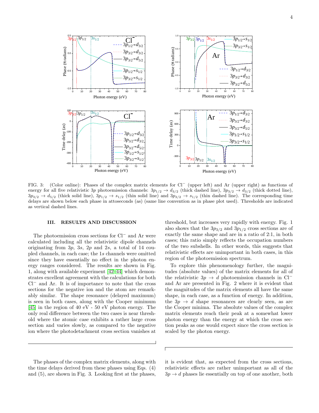

FIG. 3: (Color online): Phases of the complex matrix elements for Cl<sup>−</sup> (upper left) and Ar (upper right) as functions of energy for all five relativistic 3p photoemission channels:  $3p_{1/2} \rightarrow d_{3/2}$  (thick dashed line),  $3p_{3/2} \rightarrow d_{3/2}$  (thick dotted line),  $3p_{3/2} \rightarrow d_{5/2}$  (thick solid line),  $3p_{1/2} \rightarrow s_{1/2}$  (thin solid line) and  $3p_{3/2} \rightarrow s_{1/2}$  (thin dashed line). The corresponding time delays are shown below each phase in attoseconds (as) (same line convention as in phase plot used). Thresholds are indicated as vertical dashed lines.

#### III. RESULTS AND DISCUSSION

The photoemission cross sections for Cl<sup>−</sup> and Ar were calculated including all the relativistic dipole channels originating from  $3p$ ,  $3s$ ,  $2p$  and  $2s$ , a total of 14 coupled channels, in each case; the 1s channels were omitted since they have essentially no effect in the photon energy ranges considered. The results are shown in Fig. 1, along with available experiment [\[42–](#page-8-23)[44\]](#page-8-25) which demonstrates excellent agreement with the calculations for both Cl<sup>−</sup> and Ar. It is of importance to note that the cross sections for the negative ion and the atom are remarkably similar. The shape resonance (delayed maximum) is seen in both cases, along with the Cooper minimum [\[45\]](#page-8-28) in the region of 40 eV - 50 eV photon energy. The only real difference between the two cases is near threshold where the atomic case exhibits a rather large cross section and varies slowly, as compared to the negative ion where the photodetachment cross section vanishes at

The phases of the complex matrix elements, along with the time delays derived from these phases using Eqs. (4) and (5), are shown in Fig. 3. Looking first at the phases,

threshold, but increases very rapidly with energy. Fig. 1 also shows that the  $3p_{3/2}$  and  $3p_{1/2}$  cross sections are of exactly the same shape and are in a ratio of 2:1, in both cases; this ratio simply reflects the occupation numbers of the two subshells. In other words, this suggests that relativistic effects are unimportant in both cases, in this region of the photoemission spectrum.

To explore this phenomenology further, the magnitudes (absolute values) of the matrix elements for all of the relativistic 3p  $\rightarrow d$  photoemission channels in Cl<sup>−</sup> and Ar are presented in Fig. 2 where it is evident that the magnitudes of the matrix elements all have the same shape, in each case, as a function of energy. In addition, the  $3p \rightarrow d$  shape resonances are clearly seen, as are the Cooper minima. The absolute values of the complex matrix elements reach their peak at a somewhat lower photon energy than the energy at which the cross section peaks as one would expect since the cross section is scaled by the photon energy.

it is evident that, as expected from the cross sections, relativistic effects are rather unimportant as all of the  $3p \rightarrow d$  phases lie essentially on top of one another, both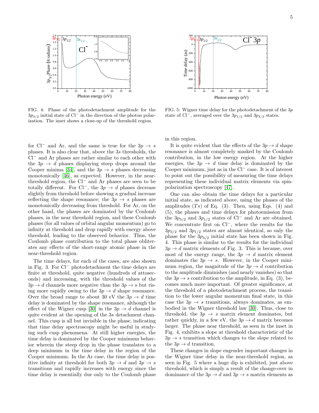

FIG. 4: Phase of the photodetachment amplitude for the  $3p_{3/2}$  initial state of Cl<sup>−</sup> in the direction of the photon polarization. The inset shows a close-up of the threshold region.

for Cl<sup>−</sup> and Ar, and the same is true for the  $3p \rightarrow s$ phases. It is also clear that, above the 3s thresholds, the Cl<sup>−</sup> and Ar phases are rather similar to each other with the  $3p \rightarrow d$  phases displaying steep drops around the Cooper minima [\[34\]](#page-8-16), and the  $3p \rightarrow s$  phases decreasing monotonically [\[46\]](#page-8-29), as expected. However, in the nearthreshold region, the Cl<sup>−</sup> and Ar phases are seen to be totally different. For Cl<sup>−</sup>, the  $3p \rightarrow d$  phases decrease slightly from threshold before showing a gradual increase reflecting the shape resonance; the  $3p \rightarrow s$  phases are monotonically decreasing from threshold. For Ar, on the other hand, the phases are dominated by the Coulomb phases, in the near threshold region, and these Coulomb phases (for all values of orbital angular momentum) go to infinity at threshold and drop rapidly with energy above threshold, leading to the observed behavior. Thus, the Coulomb phase contribution to the total phase obliterates any effects of the short-range atomic phase in the near-threshold region.

The time delays, for each of the cases, are also shown in Fig. 3. For Cl<sup>−</sup> photodetachment the time delays are finite at threshold, quite negative (hundreds of attoseconds) and increasing, with the threshold values of the  $3p \rightarrow d$  channels more negative than the  $3p \rightarrow s$  but rising more rapidly owing to the  $3p \rightarrow d$  shape resonance. Over the broad range to about 30 eV the  $3p \rightarrow d$  time delay is dominated by the shape resonance, although the effect of the Wigner cusp [\[30\]](#page-8-13) in the  $3p \rightarrow d$  channel is quite evident at the opening of the 3s detachment channel. This cusp is all but invisible in the phase, indicating that time delay spectroscopy might be useful in studying such cusp phenomena. At still higher energies, the time delay is dominated by the Cooper minimum behavior wherein the steep drop in the phase translates to a deep minimum in the time delay in the region of the Cooper minimum. In the Ar case, the time delay is positive infinity at threshold for both  $3p \rightarrow d$  and  $3p \rightarrow s$ transitions and rapidly increases with energy since the time delay is essentially due only to the Coulomb phase



FIG. 5: Wigner time delay for the photodetachment of the 3p state of Cl<sup>−</sup>, averaged over the  $3p_{1/2}$  and  $3p_{3/2}$  states.

in this region.

It is quite evident that the effects of the  $3p \rightarrow d$  shape resonance is almost completely masked by the Coulomb contribution, in the low energy region. At the higher energies, the  $3p \rightarrow d$  time delay is dominated by the Cooper minimum, just as in the Cl<sup>−</sup> case. It is of interest to point out the possibility of measuring the time delays representing these individual matrix elements via spinpolarization spectroscopy [\[47\]](#page-8-30).

One can also obtain the time delays for a particular initial state, as indicated above, using the phases of the amplitudes  $(Ts)$  of Eq. (3). Then, using Eqs. (4) and (5), the phases and time delays for photoemission from the  $3p_{3/2}$  and  $3p_{1/2}$  states of Cl<sup>−</sup> and Ar are obtained. We concentrate first on Cl<sup>−</sup>, where the results for the  $3p_{3/2}$  and  $3p_{1/2}$  states are almost identical, so only the phase for the  $3p_{3/2}$  initial state has been shown in Fig. 4. This phase is similar to the results for the individual  $3p \rightarrow d$  matrix elements of Fig. 3. This is because, over most of the energy range, the  $3p \rightarrow d$  matrix element dominates the  $3p \rightarrow s$ . However, in the Cooper minimum region, the magnitude of the  $3p \rightarrow d$  contribution to the amplitude diminishes (and nearly vanishes) so that the  $3p \rightarrow s$  contribution to the amplitude, in Eq. (3), becomes much more important. Of greater significance, at the threshold of a photodetachment process, the transition to the lower angular momentum final state, in this case the  $3p \rightarrow s$  transitions, always dominates, as embodied in the Wigner threshold law [\[30\]](#page-8-13). Thus, close to threshold, the  $3p \rightarrow s$  matrix element dominates, but rather quickly, in a few eV, the  $3p \rightarrow d$  matrix becomes larger. The phase near threshold, as seen in the inset in Fig. 4, exhibits a slope at threshold characteristic of the  $3p \rightarrow s$  transition which changes to the slope related to the  $3p \rightarrow d$  transition.

These changes in slope engender important changes in the Wigner time delay in the near-threshold region, as seen in Fig. 5 where a huge dip is exhibited, just above threshold, which is simply a result of the change-over in dominance of the  $3p \rightarrow d$  and  $3p \rightarrow s$  matrix elements as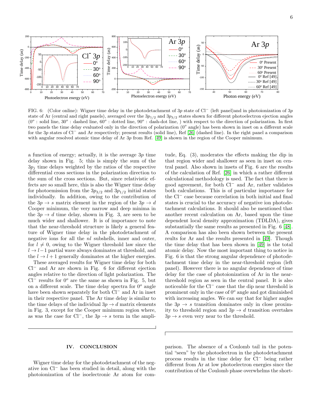

FIG. 6: (Color online): Wigner time delay in the photodetachment of 3p state of Cl<sup>−</sup> (left panel)and in photoionization of 3p state of Ar (central and right panels), averaged over the  $3p_{1/2}$  and  $3p_{3/2}$  states shown for different photoelectron ejection angles  $(0^{\circ}$ : solid line,  $30^{\circ}$ : dashed line,  $60^{\circ}$ : dotted line,  $90^{\circ}$ : dash-dot line, ) with respect to the direction of polarization. In first two panels the time delay evaluated only in the direction of polarization  $(0^{\circ}$  angle) has been shown in inset on a different scale for the 3p states of Cl<sup>−</sup> and Ar respectively; present results (solid line), Ref [\[26\]](#page-8-10) (dashed line). In the right panel a comparison with angular resolved atomic time delay of Ar 3p from Ref. [\[49\]](#page-8-31) is shown in the region of the Cooper minimum.

a function of energy; actually, it is the average  $3p$  time delay shown in Fig. 5; this is simply the sum of the  $3p_i$  time delays weighted by the ratios of the respective differential cross sections in the polarization direction to the sum of the cross sections. But, since relativistic effects are so small here, this is also the Wigner time delay for photoemission from the  $3p_{3/2}$  and  $3p_{1/2}$  initial states individually. In addition, owing to the contribution of the  $3p \rightarrow s$  matrix element in the region of the  $3p \rightarrow d$ Cooper minimum, the very narrow and deep minima in the  $3p \rightarrow d$  time delay, shown in Fig. 3, are seen to be much wider and shallower. It is of importance to note that the near-threshold structure is likely a general feature of Wigner time delay in the photodetachment of negative ions for all the *nl* subshells, inner and outer, for  $l \neq 0$ , owing to the Wigner threshold law since the  $l \rightarrow l-1$  partial wave always dominates at threshold, and the  $l \rightarrow l + 1$  generally dominates at the higher energies.

These averaged results for Wigner time delay for both Cl<sup>−</sup> and Ar are shown in Fig. 6 for different ejection angles relative to the direction of light polarization. The  $Cl^-$  results for  $0^{\circ}$  are the same as shown in Fig. 5, but on a different scale. The time delay spectra for  $0^{\circ}$  angle have been shown separately for both Cl<sup>−</sup> and Ar in inset in their respective panel. The Ar time delay is similar to the time delays of the individual  $3p \rightarrow d$  matrix elements in Fig. 3, except for the Cooper minimum region where, as was the case for Cl<sup>−</sup>, the  $3p \rightarrow s$  term in the ampli-

### IV. CONCLUSION

Wigner time delay for the photodetachment of the negative ion Cl<sup>−</sup> has been studied in detail, along with the photoionization of the isoelectronic Ar atom for com-

tude, Eq. (3), moderates the effects making the dip in that region wider and shallower as seen in inset on central panel. Also shown in insets of Fig. 6 are the results of the calculation of Ref. [\[26\]](#page-8-10) in which a rather different calculational methodology is used. The fact that there is good agreement, for both Cl<sup>−</sup> and Ar, rather validates both calculations. This is of particular importance for the Cl<sup>−</sup> case because correlation in both initial and final states is crucial to the accuracy of negative ion photodetachment calculations. It should also be mentioned that another recent calculation on Ar, based upon the time dependent local density approximation (TDLDA), gives substantially the same results as presented in Fig. 6 [\[48\]](#page-8-32). A comparison has also been shown between the present reults for Ar and the results presented in [\[49\]](#page-8-31). Though the time delay that has been shown in [\[49\]](#page-8-31) is the total atomic delay. Now the most important thing to notice in Fig. 6 is that the strong angular dependence of photodetachment time delay in the near-threshold region (left panel). However there is no angular dependence of time delay for the case of photoionization of Ar in the nearthreshold region as seen in the central panel. It is also noticeable for the Cl<sup>−</sup> case that the dip near threshold is prominent only in the case of  $0^o$  angle and got diminished with increasing angles. We can say that for higher angles the  $3p \rightarrow s$  transition dominates only in close proximity to threshold region and  $3p \rightarrow d$  transition overtakes  $3p \rightarrow s$  even very near to the threshold.

parison. The absence of a Coulomb tail in the potential "seen" by the photoelectron in the photodetachment process results in the time delay for Cl<sup>−</sup> being rather different from Ar at low photoelectron energies since the contribution of the Coulomb phase overwhelms the short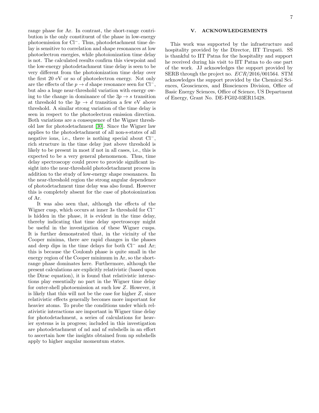range phase for Ar. In contrast, the short-range contribution is the only constituent of the phase in low-energy photoemission for Cl−. Thus, photodetachment time delay is sensitive to correlation and shape resonances at low photoelectron energies, while photoionization time delay is not. The calculated results confirm this viewpoint and the low-energy photodetachment time delay is seen to be very different from the photoionization time delay over the first 20 eV or so of photoelectron energy. Not only are the effects of the  $p \to d$  shape resonance seen for Cl<sup>-</sup>, but also a huge near-threshold variation with energy owing to the change in dominance of the  $3p \rightarrow s$  transition at threshold to the  $3p \rightarrow d$  transition a few eV above threshold. A similar strong variation of the time delay is seen in respect to the photoelectron emission direction. Both variations are a consequence of the Wigner threshold law for photodetachment [\[30\]](#page-8-13). Since the Wigner law applies to the photodetachment of all non-s-states of all negative ions, i.e., there is nothing special about Cl−, rich structure in the time delay just above threshold is likely to be present in most if not in all cases, i.e., this is expected to be a very general phenomenon. Thus, time delay spectroscopy could prove to provide significant insight into the near-threshold photodetachment process in addition to the study of low-energy shape resonances. In the near-threshold region the strong angular dependence of photodetachment time delay was also found. However this is completely absent for the case of photoionization of Ar.

It was also seen that, although the effects of the Wigner cusp, which occurs at inner 3s threshold for Cl<sup>−</sup> is hidden in the phase, it is evident in the time delay, thereby indicating that time delay spectroscopy might be useful in the investigation of these Wigner cusps. It is further demonstrated that, in the vicinity of the Cooper minima, there are rapid changes in the phases and deep dips in the time delays for both Cl<sup>−</sup> and Ar; this is because the Coulomb phase is quite small in the energy region of the Cooper minimum in Ar, so the shortrange phase dominates here. Furthermore, although the present calculations are explicitly relativistic (based upon the Dirac equation), it is found that relativistic interactions play essentially no part in the Wigner time delay for outer-shell photoemission at such low Z. However, it is likely that this will not be the case for higher Z, since relativistic effects generally becomes more important for heavier atoms. To probe the conditions under which relativistic interactions are important in Wigner time delay for photodetachment, a series of calculations for heavier systems is in progress; included in this investigation are photodetachment of nd and nf subshells in an effort to ascertain how the insights obtained from np subshells apply to higher angular momentum states.

#### V. ACKNOWLEDGEMENTS

This work was supported by the infrastructure and hospitality provided by the Director, IIT Tirupati. SS is thankful to IIT Patna for the hospitality and support he received during his visit to IIT Patna to do one part of the work. JJ acknowledges the support provided by SERB through the project no. ECR/2016/001564. STM acknowledges the support provided by the Chemical Sciences, Geosciences, and Biosciences Division, Office of Basic Energy Sciences, Office of Science, US Department of Energy, Grant No. DE-FG02-03ER15428.